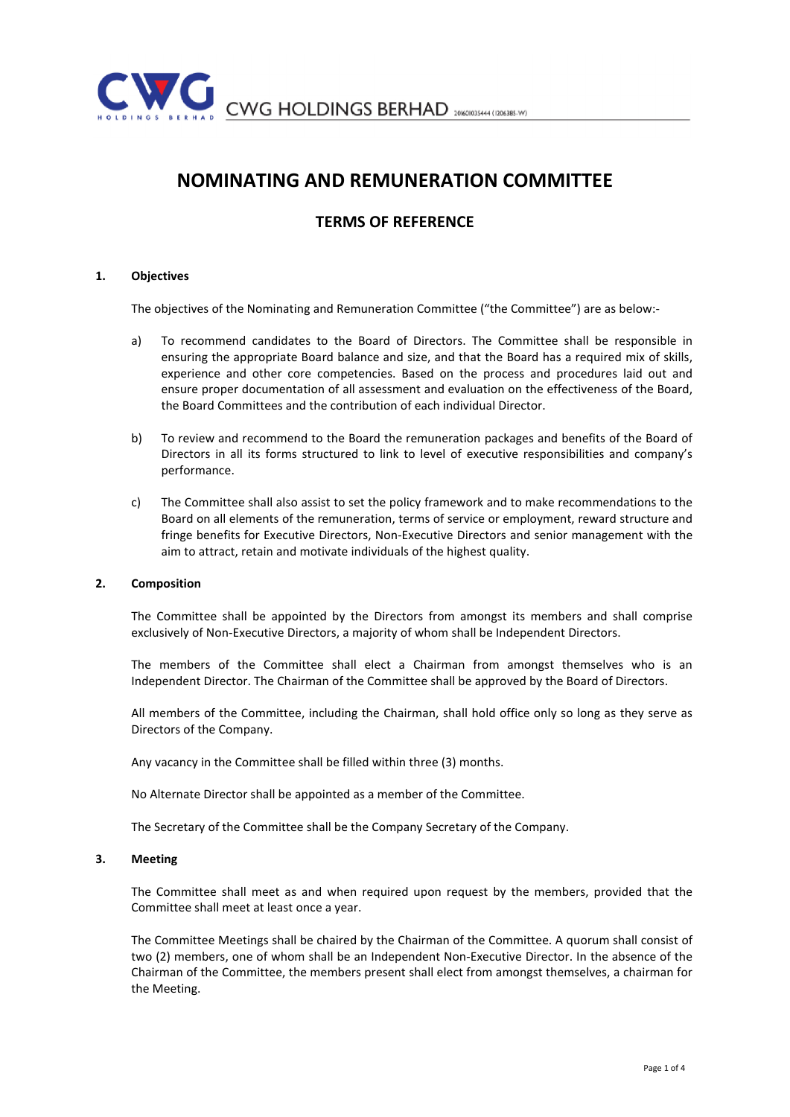

# NOMINATING AND REMUNERATION COMMITTEE

# TERMS OF REFERENCE

# 1. Objectives

The objectives of the Nominating and Remuneration Committee ("the Committee") are as below:-

- a) To recommend candidates to the Board of Directors. The Committee shall be responsible in ensuring the appropriate Board balance and size, and that the Board has a required mix of skills, experience and other core competencies. Based on the process and procedures laid out and ensure proper documentation of all assessment and evaluation on the effectiveness of the Board, the Board Committees and the contribution of each individual Director.
- b) To review and recommend to the Board the remuneration packages and benefits of the Board of Directors in all its forms structured to link to level of executive responsibilities and company's performance.
- c) The Committee shall also assist to set the policy framework and to make recommendations to the Board on all elements of the remuneration, terms of service or employment, reward structure and fringe benefits for Executive Directors, Non-Executive Directors and senior management with the aim to attract, retain and motivate individuals of the highest quality.

## 2. Composition

The Committee shall be appointed by the Directors from amongst its members and shall comprise exclusively of Non-Executive Directors, a majority of whom shall be Independent Directors.

The members of the Committee shall elect a Chairman from amongst themselves who is an Independent Director. The Chairman of the Committee shall be approved by the Board of Directors.

All members of the Committee, including the Chairman, shall hold office only so long as they serve as Directors of the Company.

Any vacancy in the Committee shall be filled within three (3) months.

No Alternate Director shall be appointed as a member of the Committee.

The Secretary of the Committee shall be the Company Secretary of the Company.

#### 3. Meeting

The Committee shall meet as and when required upon request by the members, provided that the Committee shall meet at least once a year.

The Committee Meetings shall be chaired by the Chairman of the Committee. A quorum shall consist of two (2) members, one of whom shall be an Independent Non-Executive Director. In the absence of the Chairman of the Committee, the members present shall elect from amongst themselves, a chairman for the Meeting.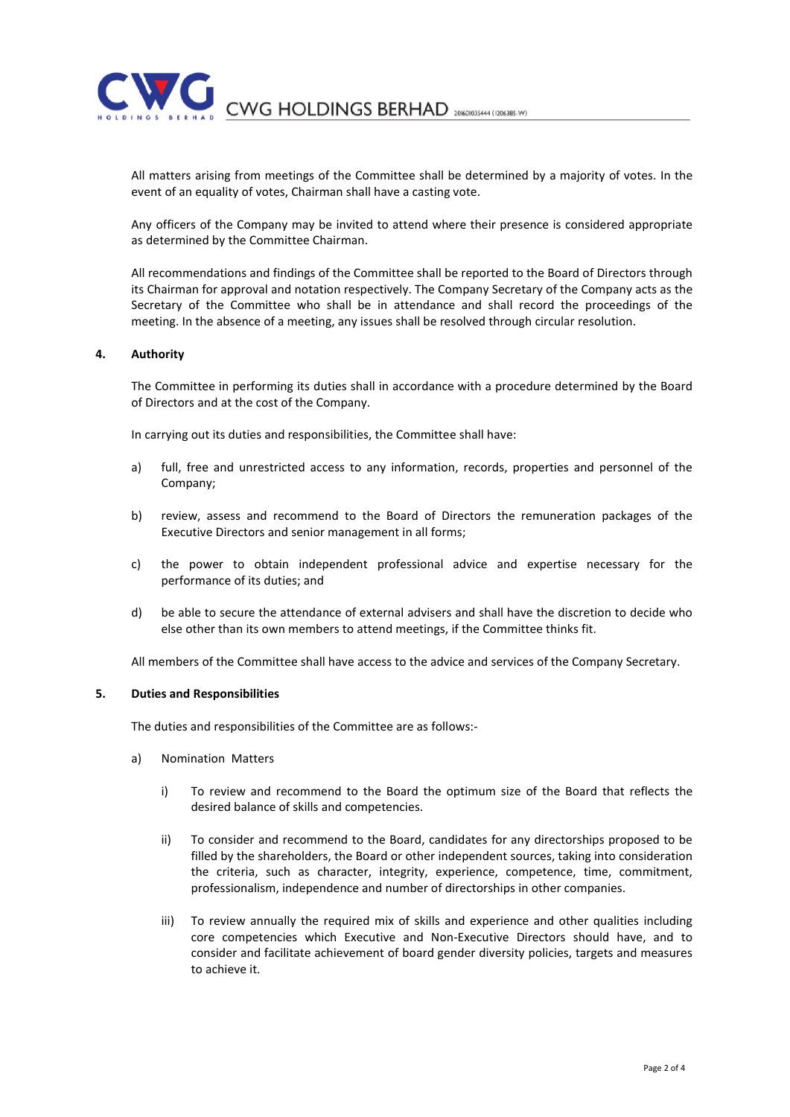CWG HOLDINGS BERHAD 20160103444 (1206385-W)

All matters arising from meetings of the Committee shall be determined by a majority of votes. In the event of an equality of votes, Chairman shall have a casting vote.

Any officers of the Company may be invited to attend where their presence is considered appropriate as determined by the Committee Chairman.

All recommendations and findings of the Committee shall be reported to the Board of Directors through its Chairman for approval and notation respectively. The Company Secretary of the Company acts as the Secretary of the Committee who shall be in attendance and shall record the proceedings of the meeting. In the absence of a meeting, any issues shall be resolved through circular resolution.

# 4. Authority

The Committee in performing its duties shall in accordance with a procedure determined by the Board of Directors and at the cost of the Company.

In carrying out its duties and responsibilities, the Committee shall have:

- a) full, free and unrestricted access to any information, records, properties and personnel of the Company;
- b) review, assess and recommend to the Board of Directors the remuneration packages of the Executive Directors and senior management in all forms;
- c) the power to obtain independent professional advice and expertise necessary for the performance of its duties; and
- d) be able to secure the attendance of external advisers and shall have the discretion to decide who else other than its own members to attend meetings, if the Committee thinks fit.

All members of the Committee shall have access to the advice and services of the Company Secretary.

## 5. Duties and Responsibilities

The duties and responsibilities of the Committee are as follows:-

- a) Nomination Matters
	- i) To review and recommend to the Board the optimum size of the Board that reflects the desired balance of skills and competencies.
	- ii) To consider and recommend to the Board, candidates for any directorships proposed to be filled by the shareholders, the Board or other independent sources, taking into consideration the criteria, such as character, integrity, experience, competence, time, commitment, professionalism, independence and number of directorships in other companies.
	- iii) To review annually the required mix of skills and experience and other qualities including core competencies which Executive and Non-Executive Directors should have, and to consider and facilitate achievement of board gender diversity policies, targets and measures to achieve it.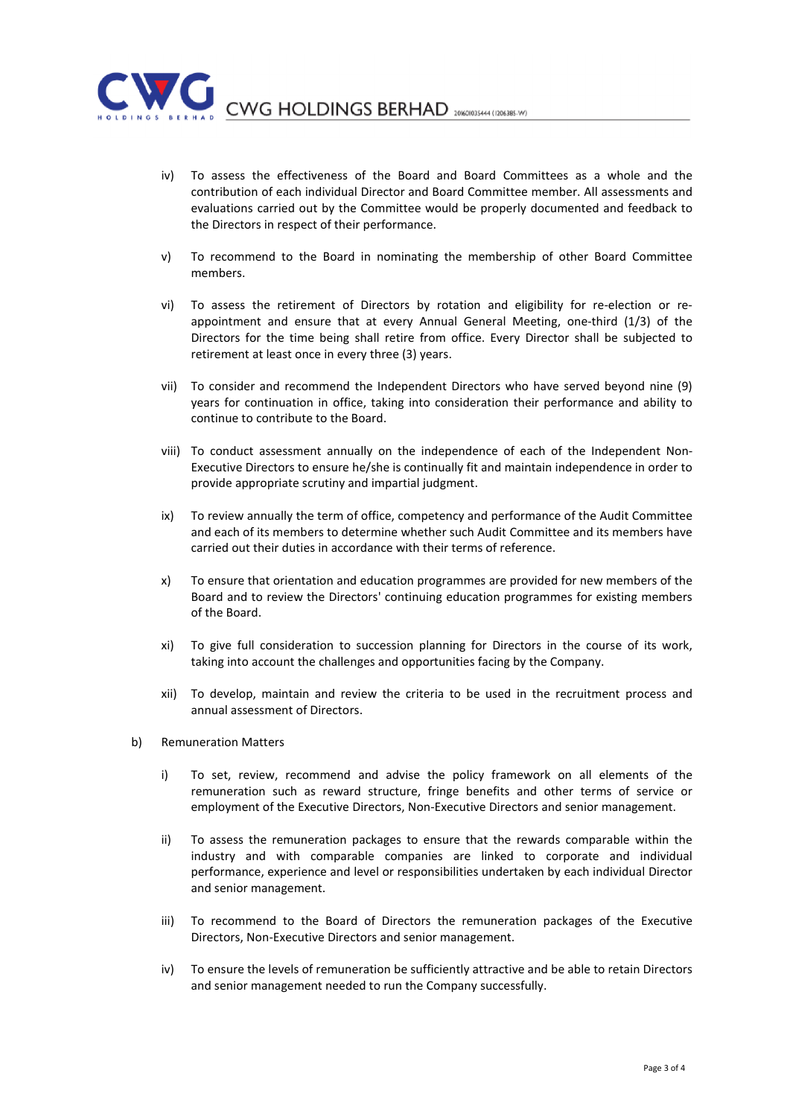

CWG HOLDINGS BERHAD 20160103444 (1206385-W)

- iv) To assess the effectiveness of the Board and Board Committees as a whole and the contribution of each individual Director and Board Committee member. All assessments and evaluations carried out by the Committee would be properly documented and feedback to the Directors in respect of their performance.
- v) To recommend to the Board in nominating the membership of other Board Committee members.
- vi) To assess the retirement of Directors by rotation and eligibility for re-election or reappointment and ensure that at every Annual General Meeting, one-third (1/3) of the Directors for the time being shall retire from office. Every Director shall be subjected to retirement at least once in every three (3) years.
- vii) To consider and recommend the Independent Directors who have served beyond nine (9) years for continuation in office, taking into consideration their performance and ability to continue to contribute to the Board.
- viii) To conduct assessment annually on the independence of each of the Independent Non-Executive Directors to ensure he/she is continually fit and maintain independence in order to provide appropriate scrutiny and impartial judgment.
- ix) To review annually the term of office, competency and performance of the Audit Committee and each of its members to determine whether such Audit Committee and its members have carried out their duties in accordance with their terms of reference.
- x) To ensure that orientation and education programmes are provided for new members of the Board and to review the Directors' continuing education programmes for existing members of the Board.
- xi) To give full consideration to succession planning for Directors in the course of its work, taking into account the challenges and opportunities facing by the Company.
- xii) To develop, maintain and review the criteria to be used in the recruitment process and annual assessment of Directors.
- b) Remuneration Matters
	- i) To set, review, recommend and advise the policy framework on all elements of the remuneration such as reward structure, fringe benefits and other terms of service or employment of the Executive Directors, Non-Executive Directors and senior management.
	- ii) To assess the remuneration packages to ensure that the rewards comparable within the industry and with comparable companies are linked to corporate and individual performance, experience and level or responsibilities undertaken by each individual Director and senior management.
	- iii) To recommend to the Board of Directors the remuneration packages of the Executive Directors, Non-Executive Directors and senior management.
	- iv) To ensure the levels of remuneration be sufficiently attractive and be able to retain Directors and senior management needed to run the Company successfully.